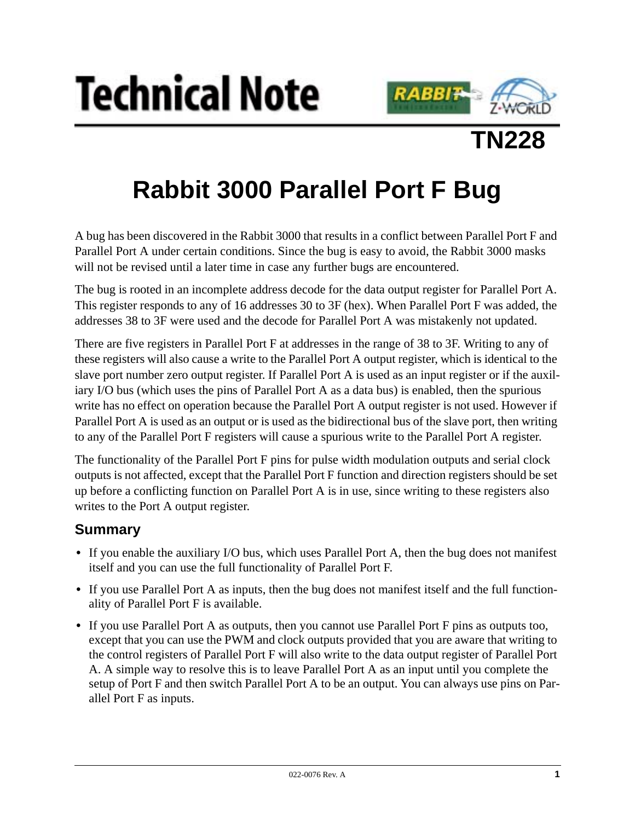





## **Rabbit 3000 Parallel Port F Bug**

A bug has been discovered in the Rabbit 3000 that results in a conflict between Parallel Port F and Parallel Port A under certain conditions. Since the bug is easy to avoid, the Rabbit 3000 masks will not be revised until a later time in case any further bugs are encountered.

The bug is rooted in an incomplete address decode for the data output register for Parallel Port A. This register responds to any of 16 addresses 30 to 3F (hex). When Parallel Port F was added, the addresses 38 to 3F were used and the decode for Parallel Port A was mistakenly not updated.

There are five registers in Parallel Port F at addresses in the range of 38 to 3F. Writing to any of these registers will also cause a write to the Parallel Port A output register, which is identical to the slave port number zero output register. If Parallel Port A is used as an input register or if the auxiliary I/O bus (which uses the pins of Parallel Port A as a data bus) is enabled, then the spurious write has no effect on operation because the Parallel Port A output register is not used. However if Parallel Port A is used as an output or is used as the bidirectional bus of the slave port, then writing to any of the Parallel Port F registers will cause a spurious write to the Parallel Port A register.

The functionality of the Parallel Port F pins for pulse width modulation outputs and serial clock outputs is not affected, except that the Parallel Port F function and direction registers should be set up before a conflicting function on Parallel Port A is in use, since writing to these registers also writes to the Port A output register.

## **Summary**

- If you enable the auxiliary I/O bus, which uses Parallel Port A, then the bug does not manifest itself and you can use the full functionality of Parallel Port F.
- If you use Parallel Port A as inputs, then the bug does not manifest itself and the full functionality of Parallel Port F is available.
- **•** If you use Parallel Port A as outputs, then you cannot use Parallel Port F pins as outputs too, except that you can use the PWM and clock outputs provided that you are aware that writing to the control registers of Parallel Port F will also write to the data output register of Parallel Port A. A simple way to resolve this is to leave Parallel Port A as an input until you complete the setup of Port F and then switch Parallel Port A to be an output. You can always use pins on Parallel Port F as inputs.